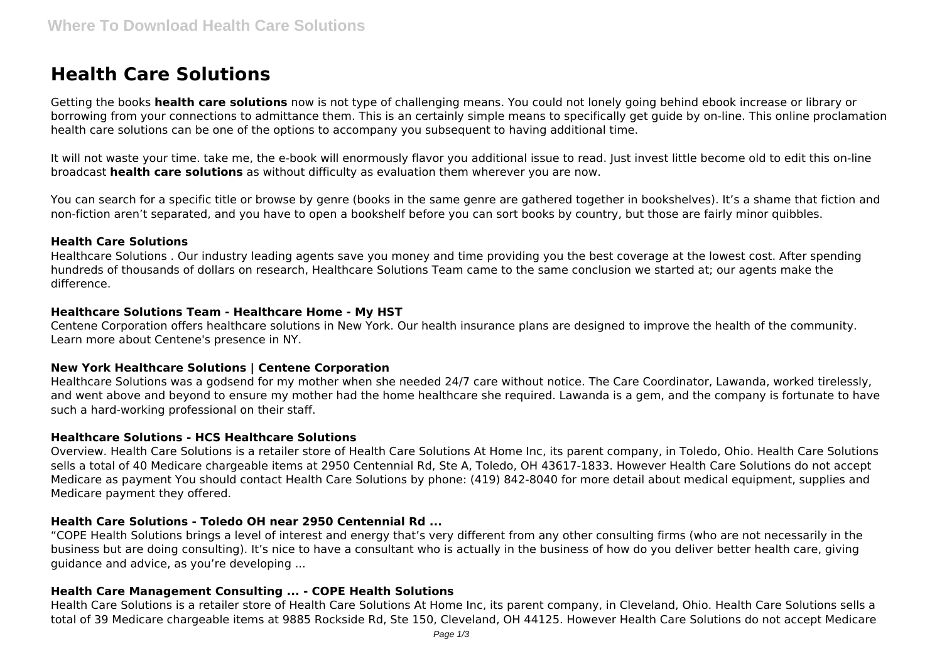# **Health Care Solutions**

Getting the books **health care solutions** now is not type of challenging means. You could not lonely going behind ebook increase or library or borrowing from your connections to admittance them. This is an certainly simple means to specifically get guide by on-line. This online proclamation health care solutions can be one of the options to accompany you subsequent to having additional time.

It will not waste your time. take me, the e-book will enormously flavor you additional issue to read. Just invest little become old to edit this on-line broadcast **health care solutions** as without difficulty as evaluation them wherever you are now.

You can search for a specific title or browse by genre (books in the same genre are gathered together in bookshelves). It's a shame that fiction and non-fiction aren't separated, and you have to open a bookshelf before you can sort books by country, but those are fairly minor quibbles.

#### **Health Care Solutions**

Healthcare Solutions . Our industry leading agents save you money and time providing you the best coverage at the lowest cost. After spending hundreds of thousands of dollars on research, Healthcare Solutions Team came to the same conclusion we started at; our agents make the difference.

#### **Healthcare Solutions Team - Healthcare Home - My HST**

Centene Corporation offers healthcare solutions in New York. Our health insurance plans are designed to improve the health of the community. Learn more about Centene's presence in NY.

#### **New York Healthcare Solutions | Centene Corporation**

Healthcare Solutions was a godsend for my mother when she needed 24/7 care without notice. The Care Coordinator, Lawanda, worked tirelessly, and went above and beyond to ensure my mother had the home healthcare she required. Lawanda is a gem, and the company is fortunate to have such a hard-working professional on their staff.

#### **Healthcare Solutions - HCS Healthcare Solutions**

Overview. Health Care Solutions is a retailer store of Health Care Solutions At Home Inc, its parent company, in Toledo, Ohio. Health Care Solutions sells a total of 40 Medicare chargeable items at 2950 Centennial Rd, Ste A, Toledo, OH 43617-1833. However Health Care Solutions do not accept Medicare as payment You should contact Health Care Solutions by phone: (419) 842-8040 for more detail about medical equipment, supplies and Medicare payment they offered.

#### **Health Care Solutions - Toledo OH near 2950 Centennial Rd ...**

"COPE Health Solutions brings a level of interest and energy that's very different from any other consulting firms (who are not necessarily in the business but are doing consulting). It's nice to have a consultant who is actually in the business of how do you deliver better health care, giving guidance and advice, as you're developing ...

#### **Health Care Management Consulting ... - COPE Health Solutions**

Health Care Solutions is a retailer store of Health Care Solutions At Home Inc, its parent company, in Cleveland, Ohio. Health Care Solutions sells a total of 39 Medicare chargeable items at 9885 Rockside Rd, Ste 150, Cleveland, OH 44125. However Health Care Solutions do not accept Medicare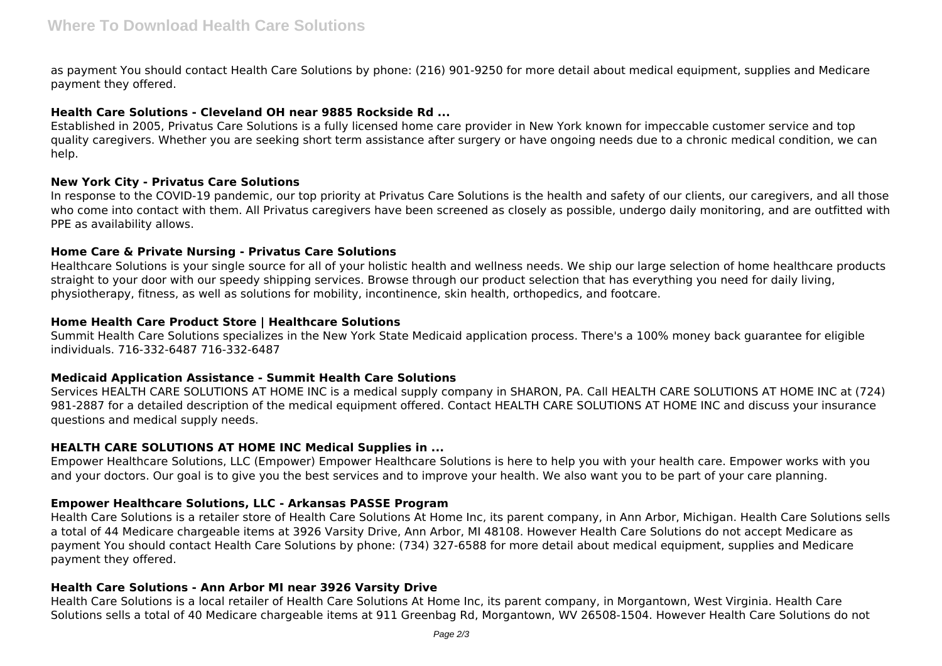as payment You should contact Health Care Solutions by phone: (216) 901-9250 for more detail about medical equipment, supplies and Medicare payment they offered.

# **Health Care Solutions - Cleveland OH near 9885 Rockside Rd ...**

Established in 2005, Privatus Care Solutions is a fully licensed home care provider in New York known for impeccable customer service and top quality caregivers. Whether you are seeking short term assistance after surgery or have ongoing needs due to a chronic medical condition, we can help.

# **New York City - Privatus Care Solutions**

In response to the COVID-19 pandemic, our top priority at Privatus Care Solutions is the health and safety of our clients, our caregivers, and all those who come into contact with them. All Privatus caregivers have been screened as closely as possible, undergo daily monitoring, and are outfitted with PPE as availability allows.

# **Home Care & Private Nursing - Privatus Care Solutions**

Healthcare Solutions is your single source for all of your holistic health and wellness needs. We ship our large selection of home healthcare products straight to your door with our speedy shipping services. Browse through our product selection that has everything you need for daily living, physiotherapy, fitness, as well as solutions for mobility, incontinence, skin health, orthopedics, and footcare.

# **Home Health Care Product Store | Healthcare Solutions**

Summit Health Care Solutions specializes in the New York State Medicaid application process. There's a 100% money back guarantee for eligible individuals. 716-332-6487 716-332-6487

# **Medicaid Application Assistance - Summit Health Care Solutions**

Services HEALTH CARE SOLUTIONS AT HOME INC is a medical supply company in SHARON, PA. Call HEALTH CARE SOLUTIONS AT HOME INC at (724) 981-2887 for a detailed description of the medical equipment offered. Contact HEALTH CARE SOLUTIONS AT HOME INC and discuss your insurance questions and medical supply needs.

# **HEALTH CARE SOLUTIONS AT HOME INC Medical Supplies in ...**

Empower Healthcare Solutions, LLC (Empower) Empower Healthcare Solutions is here to help you with your health care. Empower works with you and your doctors. Our goal is to give you the best services and to improve your health. We also want you to be part of your care planning.

# **Empower Healthcare Solutions, LLC - Arkansas PASSE Program**

Health Care Solutions is a retailer store of Health Care Solutions At Home Inc, its parent company, in Ann Arbor, Michigan. Health Care Solutions sells a total of 44 Medicare chargeable items at 3926 Varsity Drive, Ann Arbor, MI 48108. However Health Care Solutions do not accept Medicare as payment You should contact Health Care Solutions by phone: (734) 327-6588 for more detail about medical equipment, supplies and Medicare payment they offered.

# **Health Care Solutions - Ann Arbor MI near 3926 Varsity Drive**

Health Care Solutions is a local retailer of Health Care Solutions At Home Inc, its parent company, in Morgantown, West Virginia. Health Care Solutions sells a total of 40 Medicare chargeable items at 911 Greenbag Rd, Morgantown, WV 26508-1504. However Health Care Solutions do not